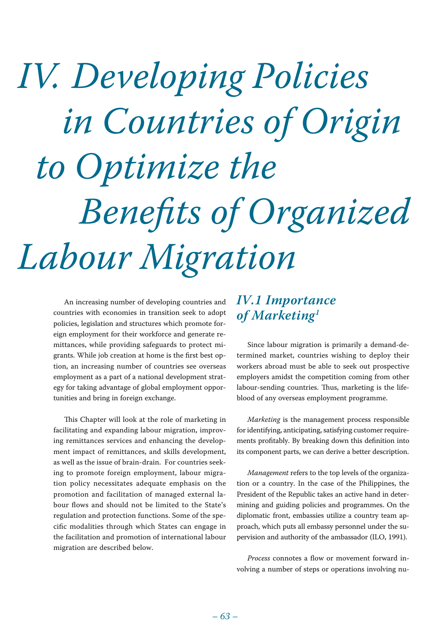# *IV. Developing Policies in Countries of Origin to Optimize the Benefits of Organized Labour Migration*

An increasing number of developing countries and countries with economies in transition seek to adopt policies, legislation and structures which promote foreign employment for their workforce and generate remittances, while providing safeguards to protect migrants. While job creation at home is the first best option, an increasing number of countries see overseas employment as a part of a national development strategy for taking advantage of global employment opportunities and bring in foreign exchange.

This Chapter will look at the role of marketing in facilitating and expanding labour migration, improving remittances services and enhancing the development impact of remittances, and skills development, as well as the issue of brain-drain. For countries seeking to promote foreign employment, labour migration policy necessitates adequate emphasis on the promotion and facilitation of managed external labour flows and should not be limited to the State's regulation and protection functions. Some of the specific modalities through which States can engage in the facilitation and promotion of international labour migration are described below.

# *IV.1 Importance of Marketing1*

Since labour migration is primarily a demand-determined market, countries wishing to deploy their workers abroad must be able to seek out prospective employers amidst the competition coming from other labour-sending countries. Thus, marketing is the lifeblood of any overseas employment programme.

*Marketing* is the management process responsible for identifying, anticipating, satisfying customer requirements profitably. By breaking down this definition into its component parts, we can derive a better description.

*Management* refers to the top levels of the organization or a country. In the case of the Philippines, the President of the Republic takes an active hand in determining and guiding policies and programmes. On the diplomatic front, embassies utilize a country team approach, which puts all embassy personnel under the supervision and authority of the ambassador (ILO, 1991).

*Process* connotes a flow or movement forward involving a number of steps or operations involving nu-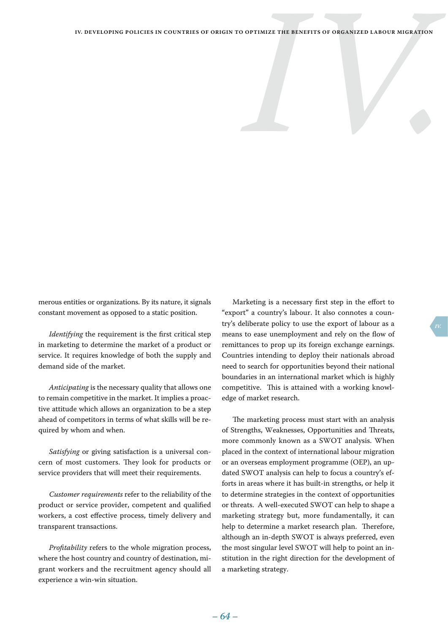merous entities or organizations. By its nature, it signals constant movement as opposed to a static position.

*Identifying* the requirement is the first critical step in marketing to determine the market of a product or service. It requires knowledge of both the supply and demand side of the market.

*Anticipating* is the necessary quality that allows one to remain competitive in the market. It implies a proactive attitude which allows an organization to be a step ahead of competitors in terms of what skills will be required by whom and when.

*Satisfying* or giving satisfaction is a universal concern of most customers. They look for products or service providers that will meet their requirements.

*Customer requirements* refer to the reliability of the product or service provider, competent and qualified workers, a cost effective process, timely delivery and transparent transactions.

*Profitability* refers to the whole migration process, where the host country and country of destination, migrant workers and the recruitment agency should all experience a win-win situation.

Marketing is a necessary first step in the effort to "export" a country's labour. It also connotes a country's deliberate policy to use the export of labour as a means to ease unemployment and rely on the flow of remittances to prop up its foreign exchange earnings. Countries intending to deploy their nationals abroad need to search for opportunities beyond their national boundaries in an international market which is highly competitive. This is attained with a working knowledge of market research.

The marketing process must start with an analysis of Strengths, Weaknesses, Opportunities and Threats, more commonly known as a SWOT analysis. When placed in the context of international labour migration or an overseas employment programme (OEP), an updated SWOT analysis can help to focus a country's efforts in areas where it has built-in strengths, or help it to determine strategies in the context of opportunities or threats. A well-executed SWOT can help to shape a marketing strategy but, more fundamentally, it can help to determine a market research plan. Therefore, although an in-depth SWOT is always preferred, even the most singular level SWOT will help to point an institution in the right direction for the development of a marketing strategy.

 *– 63 – – 64 –*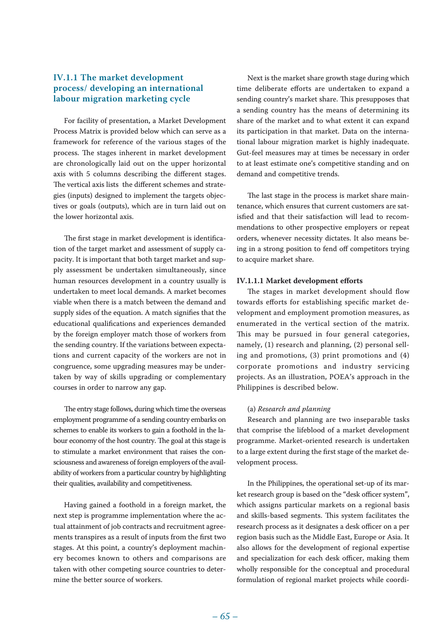# **IV.1.1 The market development process/ developing an international labour migration marketing cycle**

For facility of presentation, a Market Development Process Matrix is provided below which can serve as a framework for reference of the various stages of the process. The stages inherent in market development are chronologically laid out on the upper horizontal axis with 5 columns describing the different stages. The vertical axis lists the different schemes and strategies (inputs) designed to implement the targets objectives or goals (outputs), which are in turn laid out on the lower horizontal axis.

The first stage in market development is identification of the target market and assessment of supply capacity. It is important that both target market and supply assessment be undertaken simultaneously, since human resources development in a country usually is undertaken to meet local demands. A market becomes viable when there is a match between the demand and supply sides of the equation. A match signifies that the educational qualifications and experiences demanded by the foreign employer match those of workers from the sending country. If the variations between expectations and current capacity of the workers are not in congruence, some upgrading measures may be undertaken by way of skills upgrading or complementary courses in order to narrow any gap.

The entry stage follows, during which time the overseas employment programme of a sending country embarks on schemes to enable its workers to gain a foothold in the labour economy of the host country. The goal at this stage is to stimulate a market environment that raises the consciousness and awareness of foreign employers of the availability of workers from a particular country by highlighting their qualities, availability and competitiveness.

Having gained a foothold in a foreign market, the next step is programme implementation where the actual attainment of job contracts and recruitment agreements transpires as a result of inputs from the first two stages. At this point, a country's deployment machinery becomes known to others and comparisons are taken with other competing source countries to determine the better source of workers.

Next is the market share growth stage during which time deliberate efforts are undertaken to expand a sending country's market share. This presupposes that a sending country has the means of determining its share of the market and to what extent it can expand its participation in that market. Data on the international labour migration market is highly inadequate. Gut-feel measures may at times be necessary in order to at least estimate one's competitive standing and on demand and competitive trends.

The last stage in the process is market share maintenance, which ensures that current customers are satisfied and that their satisfaction will lead to recommendations to other prospective employers or repeat orders, whenever necessity dictates. It also means being in a strong position to fend off competitors trying to acquire market share.

#### **IV.1.1.1 Market development efforts**

The stages in market development should flow towards efforts for establishing specific market development and employment promotion measures, as enumerated in the vertical section of the matrix. This may be pursued in four general categories, namely, (1) research and planning, (2) personal selling and promotions, (3) print promotions and (4) corporate promotions and industry servicing projects. As an illustration, POEA's approach in the Philippines is described below.

#### (a) *Research and planning*

Research and planning are two inseparable tasks that comprise the lifeblood of a market development programme. Market-oriented research is undertaken to a large extent during the first stage of the market development process.

In the Philippines, the operational set-up of its market research group is based on the "desk officer system", which assigns particular markets on a regional basis and skills-based segments. This system facilitates the research process as it designates a desk officer on a per region basis such as the Middle East, Europe or Asia. It also allows for the development of regional expertise and specialization for each desk officer, making them wholly responsible for the conceptual and procedural formulation of regional market projects while coordi-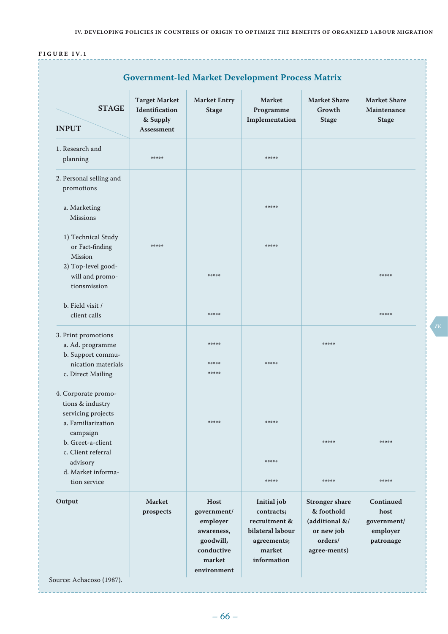# **F i g u r e IV. 1**

| <b>STAGE</b><br><b>INPUT</b>                                                                            | <b>Target Market</b><br>Identification<br>& Supply<br>Assessment | <b>Market Entry</b><br><b>Stage</b>                                                | <b>Market</b><br>Programme<br>Implementation                                                           | <b>Market Share</b><br>Growth<br><b>Stage</b>                                                  | <b>Market Share</b><br>Maintenance<br><b>Stage</b>        |
|---------------------------------------------------------------------------------------------------------|------------------------------------------------------------------|------------------------------------------------------------------------------------|--------------------------------------------------------------------------------------------------------|------------------------------------------------------------------------------------------------|-----------------------------------------------------------|
| 1. Research and<br>planning                                                                             | *****                                                            |                                                                                    | *****                                                                                                  |                                                                                                |                                                           |
| 2. Personal selling and<br>promotions                                                                   |                                                                  |                                                                                    |                                                                                                        |                                                                                                |                                                           |
| a. Marketing<br><b>Missions</b>                                                                         |                                                                  |                                                                                    | *****                                                                                                  |                                                                                                |                                                           |
| 1) Technical Study<br>or Fact-finding<br>Mission                                                        | *****                                                            |                                                                                    | *****                                                                                                  |                                                                                                |                                                           |
| 2) Top-level good-<br>will and promo-<br>tionsmission                                                   |                                                                  | *****                                                                              |                                                                                                        |                                                                                                | *****                                                     |
| b. Field visit /<br>client calls                                                                        |                                                                  | *****                                                                              |                                                                                                        |                                                                                                | *****                                                     |
| 3. Print promotions<br>a. Ad. programme<br>b. Support commu-<br>nication materials<br>c. Direct Mailing |                                                                  | *****<br>操作物操作<br>*****                                                            | *****                                                                                                  | *****                                                                                          |                                                           |
| 4. Corporate promo-<br>tions & industry<br>servicing projects<br>a. Familiarization                     |                                                                  | *****                                                                              | *****                                                                                                  |                                                                                                |                                                           |
| campaign<br>b. Greet-a-client<br>c. Client referral<br>advisory<br>d. Market informa-                   |                                                                  |                                                                                    | *****                                                                                                  | *****                                                                                          | *****                                                     |
| tion service                                                                                            |                                                                  |                                                                                    | *****                                                                                                  | *****                                                                                          | *****                                                     |
| Output                                                                                                  | <b>Market</b><br>prospects                                       | Host<br>government/<br>employer<br>awareness,<br>goodwill,<br>conductive<br>market | Initial job<br>contracts;<br>recruitment &<br>bilateral labour<br>agreements;<br>market<br>information | <b>Stronger</b> share<br>& foothold<br>(additional &/<br>or new job<br>orders/<br>agree-ments) | Continued<br>host<br>government/<br>employer<br>patronage |

*IV.*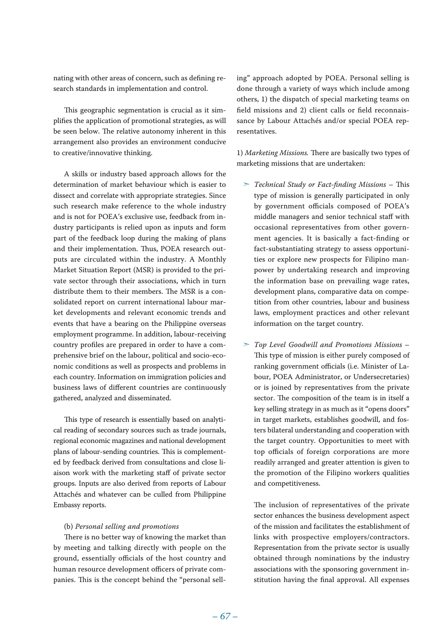nating with other areas of concern, such as defining research standards in implementation and control.

This geographic segmentation is crucial as it simplifies the application of promotional strategies, as will be seen below. The relative autonomy inherent in this arrangement also provides an environment conducive to creative/innovative thinking.

A skills or industry based approach allows for the determination of market behaviour which is easier to dissect and correlate with appropriate strategies. Since such research make reference to the whole industry and is not for POEA's exclusive use, feedback from industry participants is relied upon as inputs and form part of the feedback loop during the making of plans and their implementation. Thus, POEA research outputs are circulated within the industry. A Monthly Market Situation Report (MSR) is provided to the private sector through their associations, which in turn distribute them to their members. The MSR is a consolidated report on current international labour market developments and relevant economic trends and events that have a bearing on the Philippine overseas employment programme. In addition, labour-receiving country profiles are prepared in order to have a comprehensive brief on the labour, political and socio-economic conditions as well as prospects and problems in each country. Information on immigration policies and business laws of different countries are continuously gathered, analyzed and disseminated.

This type of research is essentially based on analytical reading of secondary sources such as trade journals, regional economic magazines and national development plans of labour-sending countries. This is complemented by feedback derived from consultations and close liaison work with the marketing staff of private sector groups. Inputs are also derived from reports of Labour Attachés and whatever can be culled from Philippine Embassy reports.

#### (b) *Personal selling and promotions*

There is no better way of knowing the market than by meeting and talking directly with people on the ground, essentially officials of the host country and human resource development officers of private companies. This is the concept behind the "personal selling" approach adopted by POEA. Personal selling is done through a variety of ways which include among others, 1) the dispatch of special marketing teams on field missions and 2) client calls or field reconnaissance by Labour Attachés and/or special POEA representatives.

1) *Marketing Missions.* There are basically two types of marketing missions that are undertaken:

- ➣ *Technical Study or Fact-finding Missions* This type of mission is generally participated in only by government officials composed of POEA's middle managers and senior technical staff with occasional representatives from other government agencies. It is basically a fact-finding or fact-substantiating strategy to assess opportunities or explore new prospects for Filipino manpower by undertaking research and improving the information base on prevailing wage rates, development plans, comparative data on competition from other countries, labour and business laws, employment practices and other relevant information on the target country.
- ➣ *Top Level Goodwill and Promotions Missions* This type of mission is either purely composed of ranking government officials (i.e. Minister of Labour, POEA Administrator, or Undersecretaries) or is joined by representatives from the private sector. The composition of the team is in itself a key selling strategy in as much as it "opens doors" in target markets, establishes goodwill, and fosters bilateral understanding and cooperation with the target country. Opportunities to meet with top officials of foreign corporations are more readily arranged and greater attention is given to the promotion of the Filipino workers qualities and competitiveness.

The inclusion of representatives of the private sector enhances the business development aspect of the mission and facilitates the establishment of links with prospective employers/contractors. Representation from the private sector is usually obtained through nominations by the industry associations with the sponsoring government institution having the final approval. All expenses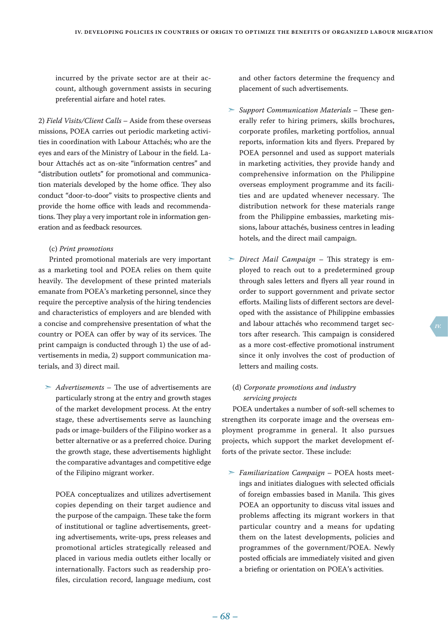incurred by the private sector are at their account, although government assists in securing preferential airfare and hotel rates.

2) *Field Visits/Client Calls* – Aside from these overseas missions, POEA carries out periodic marketing activities in coordination with Labour Attachés; who are the eyes and ears of the Ministry of Labour in the field. Labour Attachés act as on-site "information centres" and "distribution outlets" for promotional and communication materials developed by the home office. They also conduct "door-to-door" visits to prospective clients and provide the home office with leads and recommendations. They play a very important role in information generation and as feedback resources.

#### (c) *Print promotions*

Printed promotional materials are very important as a marketing tool and POEA relies on them quite heavily. The development of these printed materials emanate from POEA's marketing personnel, since they require the perceptive analysis of the hiring tendencies and characteristics of employers and are blended with a concise and comprehensive presentation of what the country or POEA can offer by way of its services. The print campaign is conducted through 1) the use of advertisements in media, 2) support communication materials, and 3) direct mail.

➣ *Advertisements* – The use of advertisements are particularly strong at the entry and growth stages of the market development process. At the entry stage, these advertisements serve as launching pads or image-builders of the Filipino worker as a better alternative or as a preferred choice. During the growth stage, these advertisements highlight the comparative advantages and competitive edge of the Filipino migrant worker.

POEA conceptualizes and utilizes advertisement copies depending on their target audience and the purpose of the campaign. These take the form of institutional or tagline advertisements, greeting advertisements, write-ups, press releases and promotional articles strategically released and placed in various media outlets either locally or internationally. Factors such as readership profiles, circulation record, language medium, cost and other factors determine the frequency and placement of such advertisements.

- ➣ *Support Communication Materials* These generally refer to hiring primers, skills brochures, corporate profiles, marketing portfolios, annual reports, information kits and flyers. Prepared by POEA personnel and used as support materials in marketing activities, they provide handy and comprehensive information on the Philippine overseas employment programme and its facilities and are updated whenever necessary. The distribution network for these materials range from the Philippine embassies, marketing missions, labour attachés, business centres in leading hotels, and the direct mail campaign.
- ➣ *Direct Mail Campaign* This strategy is employed to reach out to a predetermined group through sales letters and flyers all year round in order to support government and private sector efforts. Mailing lists of different sectors are developed with the assistance of Philippine embassies and labour attachés who recommend target sectors after research. This campaign is considered as a more cost-effective promotional instrument since it only involves the cost of production of letters and mailing costs.

# (d) *Corporate promotions and industry servicing projects*

POEA undertakes a number of soft-sell schemes to strengthen its corporate image and the overseas employment programme in general. It also pursues projects, which support the market development efforts of the private sector. These include:

➣ *Familiarization Campaign* – POEA hosts meetings and initiates dialogues with selected officials of foreign embassies based in Manila. This gives POEA an opportunity to discuss vital issues and problems affecting its migrant workers in that particular country and a means for updating them on the latest developments, policies and programmes of the government/POEA. Newly posted officials are immediately visited and given a briefing or orientation on POEA's activities.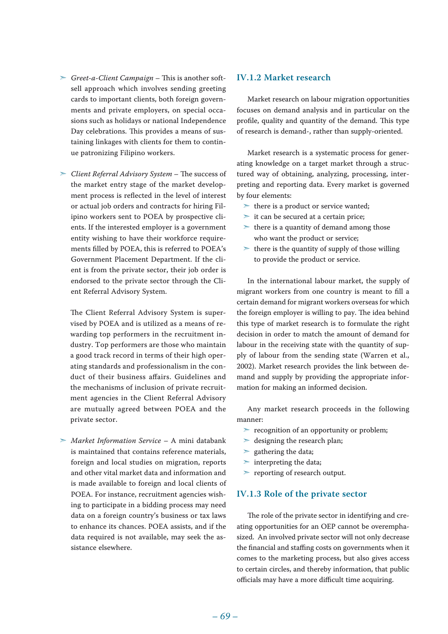- ➣ *Greet-a-Client Campaign* This is another softsell approach which involves sending greeting cards to important clients, both foreign governments and private employers, on special occasions such as holidays or national Independence Day celebrations. This provides a means of sustaining linkages with clients for them to continue patronizing Filipino workers.
- ➣ *Client Referral Advisory System* The success of the market entry stage of the market development process is reflected in the level of interest or actual job orders and contracts for hiring Filipino workers sent to POEA by prospective clients. If the interested employer is a government entity wishing to have their workforce requirements filled by POEA, this is referred to POEA's Government Placement Department. If the client is from the private sector, their job order is endorsed to the private sector through the Client Referral Advisory System.

The Client Referral Advisory System is supervised by POEA and is utilized as a means of rewarding top performers in the recruitment industry. Top performers are those who maintain a good track record in terms of their high operating standards and professionalism in the conduct of their business affairs. Guidelines and the mechanisms of inclusion of private recruitment agencies in the Client Referral Advisory are mutually agreed between POEA and the private sector.

➣ *Market Information Service* – A mini databank is maintained that contains reference materials, foreign and local studies on migration, reports and other vital market data and information and is made available to foreign and local clients of POEA. For instance, recruitment agencies wishing to participate in a bidding process may need data on a foreign country's business or tax laws to enhance its chances. POEA assists, and if the data required is not available, may seek the assistance elsewhere.

# **IV.1.2 Market research**

Market research on labour migration opportunities focuses on demand analysis and in particular on the profile, quality and quantity of the demand. This type of research is demand-, rather than supply-oriented.

Market research is a systematic process for generating knowledge on a target market through a structured way of obtaining, analyzing, processing, interpreting and reporting data. Every market is governed by four elements:

- $\ge$  there is a product or service wanted;
- $\ge$  it can be secured at a certain price;
- $\geq$  there is a quantity of demand among those who want the product or service;
- $\geq$  there is the quantity of supply of those willing to provide the product or service.

In the international labour market, the supply of migrant workers from one country is meant to fill a certain demand for migrant workers overseas for which the foreign employer is willing to pay. The idea behind this type of market research is to formulate the right decision in order to match the amount of demand for labour in the receiving state with the quantity of supply of labour from the sending state (Warren et al., 2002). Market research provides the link between demand and supply by providing the appropriate information for making an informed decision.

Any market research proceeds in the following manner:

- $\ge$  recognition of an opportunity or problem;
- $\geq$  designing the research plan;
- $\ge$  gathering the data;
- $\triangleright$  interpreting the data;
- ➣ reporting of research output.

## **IV.1.3 Role of the private sector**

The role of the private sector in identifying and creating opportunities for an OEP cannot be overemphasized. An involved private sector will not only decrease the financial and staffing costs on governments when it comes to the marketing process, but also gives access to certain circles, and thereby information, that public officials may have a more difficult time acquiring.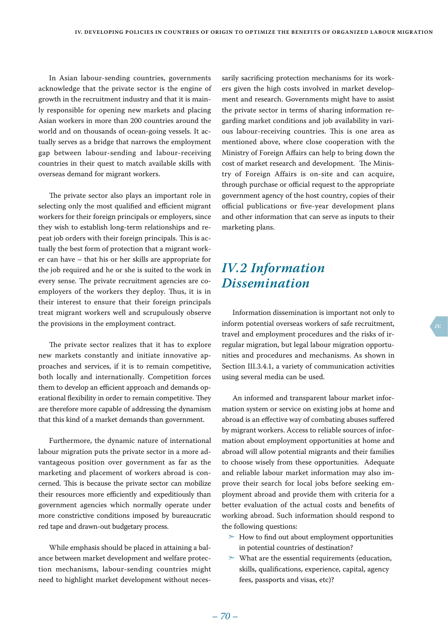In Asian labour-sending countries, governments acknowledge that the private sector is the engine of growth in the recruitment industry and that it is mainly responsible for opening new markets and placing Asian workers in more than 200 countries around the world and on thousands of ocean-going vessels. It actually serves as a bridge that narrows the employment gap between labour-sending and labour-receiving countries in their quest to match available skills with overseas demand for migrant workers.

The private sector also plays an important role in selecting only the most qualified and efficient migrant workers for their foreign principals or employers, since they wish to establish long-term relationships and repeat job orders with their foreign principals. This is actually the best form of protection that a migrant worker can have – that his or her skills are appropriate for the job required and he or she is suited to the work in every sense. The private recruitment agencies are coemployers of the workers they deploy. Thus, it is in their interest to ensure that their foreign principals treat migrant workers well and scrupulously observe the provisions in the employment contract.

The private sector realizes that it has to explore new markets constantly and initiate innovative approaches and services, if it is to remain competitive, both locally and internationally. Competition forces them to develop an efficient approach and demands operational flexibility in order to remain competitive. They are therefore more capable of addressing the dynamism that this kind of a market demands than government.

Furthermore, the dynamic nature of international labour migration puts the private sector in a more advantageous position over government as far as the marketing and placement of workers abroad is concerned. This is because the private sector can mobilize their resources more efficiently and expeditiously than government agencies which normally operate under more constrictive conditions imposed by bureaucratic red tape and drawn-out budgetary process.

While emphasis should be placed in attaining a balance between market development and welfare protection mechanisms, labour-sending countries might need to highlight market development without necessarily sacrificing protection mechanisms for its workers given the high costs involved in market development and research. Governments might have to assist the private sector in terms of sharing information regarding market conditions and job availability in various labour-receiving countries. This is one area as mentioned above, where close cooperation with the Ministry of Foreign Affairs can help to bring down the cost of market research and development. The Ministry of Foreign Affairs is on-site and can acquire, through purchase or official request to the appropriate government agency of the host country, copies of their official publications or five-year development plans and other information that can serve as inputs to their marketing plans.

# *IV.2 Information Dissemination*

Information dissemination is important not only to inform potential overseas workers of safe recruitment, travel and employment procedures and the risks of irregular migration, but legal labour migration opportunities and procedures and mechanisms. As shown in Section III.3.4.1, a variety of communication activities using several media can be used.

An informed and transparent labour market information system or service on existing jobs at home and abroad is an effective way of combating abuses suffered by migrant workers. Access to reliable sources of information about employment opportunities at home and abroad will allow potential migrants and their families to choose wisely from these opportunities. Adequate and reliable labour market information may also improve their search for local jobs before seeking employment abroad and provide them with criteria for a better evaluation of the actual costs and benefits of working abroad. Such information should respond to the following questions:

- $>$  How to find out about employment opportunities in potential countries of destination?
- $>$  What are the essential requirements (education, skills, qualifications, experience, capital, agency fees, passports and visas, etc)?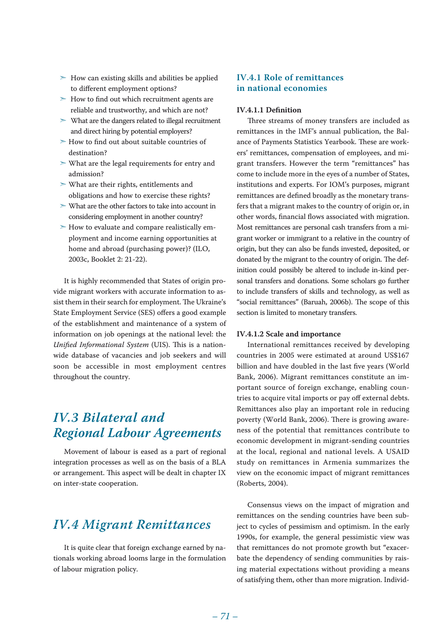- $>$  How can existing skills and abilities be applied to different employment options?
- $>$  How to find out which recruitment agents are reliable and trustworthy, and which are not?
- ➣ What are the dangers related to illegal recruitment and direct hiring by potential employers?
- ➣ How to find out about suitable countries of destination?
- ➣ What are the legal requirements for entry and admission?
- ➣ What are their rights, entitlements and obligations and how to exercise these rights?
- ➣ What are the other factors to take into account in considering employment in another country?
- $>$  How to evaluate and compare realistically employment and income earning opportunities at home and abroad (purchasing power)? (ILO, 2003c, Booklet 2: 21-22).

It is highly recommended that States of origin provide migrant workers with accurate information to assist them in their search for employment. The Ukraine's State Employment Service (SES) offers a good example of the establishment and maintenance of a system of information on job openings at the national level: the *Unified Informational System* (UIS). This is a nationwide database of vacancies and job seekers and will soon be accessible in most employment centres throughout the country.

# *IV.3 Bilateral and Regional Labour Agreements*

Movement of labour is eased as a part of regional integration processes as well as on the basis of a BLA or arrangement. This aspect will be dealt in chapter IX on inter-state cooperation.

# *IV.4 Migrant Remittances*

It is quite clear that foreign exchange earned by nationals working abroad looms large in the formulation of labour migration policy.

# **IV.4.1 Role of remittances in national economies**

#### **IV.4.1.1 Definition**

Three streams of money transfers are included as remittances in the IMF's annual publication, the Balance of Payments Statistics Yearbook. These are workers' remittances, compensation of employees, and migrant transfers. However the term "remittances" has come to include more in the eyes of a number of States, institutions and experts. For IOM's purposes, migrant remittances are defined broadly as the monetary transfers that a migrant makes to the country of origin or, in other words, financial flows associated with migration. Most remittances are personal cash transfers from a migrant worker or immigrant to a relative in the country of origin, but they can also be funds invested, deposited, or donated by the migrant to the country of origin. The definition could possibly be altered to include in-kind personal transfers and donations. Some scholars go further to include transfers of skills and technology, as well as "social remittances" (Baruah, 2006b). The scope of this section is limited to monetary transfers.

#### **IV.4.1.2 Scale and importance**

International remittances received by developing countries in 2005 were estimated at around US\$167 billion and have doubled in the last five years (World Bank, 2006). Migrant remittances constitute an important source of foreign exchange, enabling countries to acquire vital imports or pay off external debts. Remittances also play an important role in reducing poverty (World Bank, 2006). There is growing awareness of the potential that remittances contribute to economic development in migrant-sending countries at the local, regional and national levels. A USAID study on remittances in Armenia summarizes the view on the economic impact of migrant remittances (Roberts, 2004).

Consensus views on the impact of migration and remittances on the sending countries have been subject to cycles of pessimism and optimism. In the early 1990s, for example, the general pessimistic view was that remittances do not promote growth but "exacerbate the dependency of sending communities by raising material expectations without providing a means of satisfying them, other than more migration. Individ-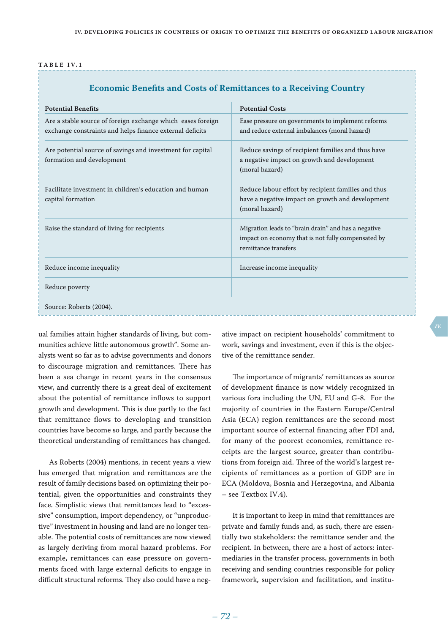|  |  | TABLE IV.1 |  |  |  |
|--|--|------------|--|--|--|
|  |  |            |  |  |  |

| <b>Economic Benefits and Costs of Remittances to a Receiving Country</b> |  |  |
|--------------------------------------------------------------------------|--|--|
|--------------------------------------------------------------------------|--|--|

| <b>Potential Benefits</b>                                                                                               | <b>Potential Costs</b>                                                                                                            |
|-------------------------------------------------------------------------------------------------------------------------|-----------------------------------------------------------------------------------------------------------------------------------|
| Are a stable source of foreign exchange which eases foreign<br>exchange constraints and helps finance external deficits | Ease pressure on governments to implement reforms<br>and reduce external imbalances (moral hazard)                                |
| Are potential source of savings and investment for capital<br>formation and development                                 | Reduce savings of recipient families and thus have<br>a negative impact on growth and development<br>(moral hazard)               |
| Facilitate investment in children's education and human<br>capital formation                                            | Reduce labour effort by recipient families and thus<br>have a negative impact on growth and development<br>(moral hazard)         |
| Raise the standard of living for recipients                                                                             | Migration leads to "brain drain" and has a negative<br>impact on economy that is not fully compensated by<br>remittance transfers |
| Reduce income inequality                                                                                                | Increase income inequality                                                                                                        |
| Reduce poverty                                                                                                          |                                                                                                                                   |
| Source: Roberts (2004).                                                                                                 |                                                                                                                                   |

ual families attain higher standards of living, but communities achieve little autonomous growth". Some analysts went so far as to advise governments and donors to discourage migration and remittances. There has been a sea change in recent years in the consensus view, and currently there is a great deal of excitement about the potential of remittance inflows to support growth and development. This is due partly to the fact that remittance flows to developing and transition countries have become so large, and partly because the theoretical understanding of remittances has changed.

As Roberts (2004) mentions, in recent years a view has emerged that migration and remittances are the result of family decisions based on optimizing their potential, given the opportunities and constraints they face. Simplistic views that remittances lead to "excessive" consumption, import dependency, or "unproductive" investment in housing and land are no longer tenable. The potential costs of remittances are now viewed as largely deriving from moral hazard problems. For example, remittances can ease pressure on governments faced with large external deficits to engage in difficult structural reforms. They also could have a negative impact on recipient households' commitment to work, savings and investment, even if this is the objective of the remittance sender.

The importance of migrants' remittances as source of development finance is now widely recognized in various fora including the UN, EU and G-8. For the majority of countries in the Eastern Europe/Central Asia (ECA) region remittances are the second most important source of external financing after FDI and, for many of the poorest economies, remittance receipts are the largest source, greater than contributions from foreign aid. Three of the world's largest recipients of remittances as a portion of GDP are in ECA (Moldova, Bosnia and Herzegovina, and Albania – see Textbox IV.4).

It is important to keep in mind that remittances are private and family funds and, as such, there are essentially two stakeholders: the remittance sender and the recipient. In between, there are a host of actors: intermediaries in the transfer process, governments in both receiving and sending countries responsible for policy framework, supervision and facilitation, and institu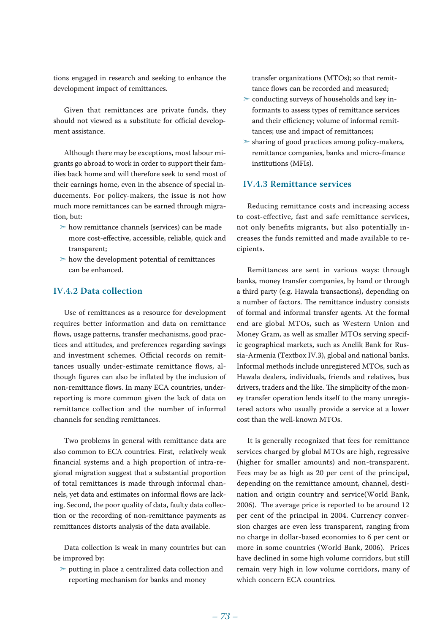tions engaged in research and seeking to enhance the development impact of remittances.

Given that remittances are private funds, they should not viewed as a substitute for official development assistance.

Although there may be exceptions, most labour migrants go abroad to work in order to support their families back home and will therefore seek to send most of their earnings home, even in the absence of special inducements. For policy-makers, the issue is not how much more remittances can be earned through migration, but:

- ➣ how remittance channels (services) can be made more cost-effective, accessible, reliable, quick and transparent;
- $>$  how the development potential of remittances can be enhanced.

#### **IV.4.2 Data collection**

Use of remittances as a resource for development requires better information and data on remittance flows, usage patterns, transfer mechanisms, good practices and attitudes, and preferences regarding savings and investment schemes. Official records on remittances usually under-estimate remittance flows, although figures can also be inflated by the inclusion of non-remittance flows. In many ECA countries, underreporting is more common given the lack of data on remittance collection and the number of informal channels for sending remittances.

Two problems in general with remittance data are also common to ECA countries. First, relatively weak financial systems and a high proportion of intra-regional migration suggest that a substantial proportion of total remittances is made through informal channels, yet data and estimates on informal flows are lacking. Second, the poor quality of data, faulty data collection or the recording of non-remittance payments as remittances distorts analysis of the data available.

Data collection is weak in many countries but can be improved by:

➣ putting in place a centralized data collection and reporting mechanism for banks and money

transfer organizations (MTOs); so that remittance flows can be recorded and measured;

- $\geq$  conducting surveys of households and key informants to assess types of remittance services and their efficiency; volume of informal remittances; use and impact of remittances;
- ➣ sharing of good practices among policy-makers, remittance companies, banks and micro-finance institutions (MFIs).

## **IV.4.3 Remittance services**

Reducing remittance costs and increasing access to cost-effective, fast and safe remittance services, not only benefits migrants, but also potentially increases the funds remitted and made available to recipients.

Remittances are sent in various ways: through banks, money transfer companies, by hand or through a third party (e.g. Hawala transactions), depending on a number of factors. The remittance industry consists of formal and informal transfer agents. At the formal end are global MTOs, such as Western Union and Money Gram, as well as smaller MTOs serving specific geographical markets, such as Anelik Bank for Russia-Armenia (Textbox IV.3), global and national banks. Informal methods include unregistered MTOs, such as Hawala dealers, individuals, friends and relatives, bus drivers, traders and the like. The simplicity of the money transfer operation lends itself to the many unregistered actors who usually provide a service at a lower cost than the well-known MTOs.

It is generally recognized that fees for remittance services charged by global MTOs are high, regressive (higher for smaller amounts) and non-transparent. Fees may be as high as 20 per cent of the principal, depending on the remittance amount, channel, destination and origin country and service(World Bank, 2006). The average price is reported to be around 12 per cent of the principal in 2004. Currency conversion charges are even less transparent, ranging from no charge in dollar-based economies to 6 per cent or more in some countries (World Bank, 2006). Prices have declined in some high volume corridors, but still remain very high in low volume corridors, many of which concern ECA countries.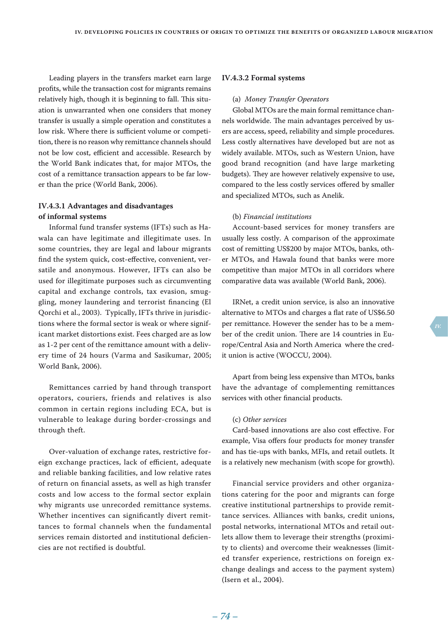Leading players in the transfers market earn large profits, while the transaction cost for migrants remains relatively high, though it is beginning to fall. This situation is unwarranted when one considers that money transfer is usually a simple operation and constitutes a low risk. Where there is sufficient volume or competition, there is no reason why remittance channels should not be low cost, efficient and accessible. Research by the World Bank indicates that, for major MTOs, the cost of a remittance transaction appears to be far lower than the price (World Bank, 2006).

# **IV.4.3.1 Advantages and disadvantages of informal systems**

Informal fund transfer systems (IFTs) such as Hawala can have legitimate and illegitimate uses. In some countries, they are legal and labour migrants find the system quick, cost-effective, convenient, versatile and anonymous. However, IFTs can also be used for illegitimate purposes such as circumventing capital and exchange controls, tax evasion, smuggling, money laundering and terrorist financing (El Qorchi et al., 2003). Typically, IFTs thrive in jurisdictions where the formal sector is weak or where significant market distortions exist. Fees charged are as low as 1-2 per cent of the remittance amount with a delivery time of 24 hours (Varma and Sasikumar, 2005; World Bank, 2006).

Remittances carried by hand through transport operators, couriers, friends and relatives is also common in certain regions including ECA, but is vulnerable to leakage during border-crossings and through theft.

Over-valuation of exchange rates, restrictive foreign exchange practices, lack of efficient, adequate and reliable banking facilities, and low relative rates of return on financial assets, as well as high transfer costs and low access to the formal sector explain why migrants use unrecorded remittance systems. Whether incentives can significantly divert remittances to formal channels when the fundamental services remain distorted and institutional deficiencies are not rectified is doubtful.

#### **IV.4.3.2 Formal systems**

#### (a) *Money Transfer Operators*

Global MTOs are the main formal remittance channels worldwide. The main advantages perceived by users are access, speed, reliability and simple procedures. Less costly alternatives have developed but are not as widely available. MTOs, such as Western Union, have good brand recognition (and have large marketing budgets). They are however relatively expensive to use, compared to the less costly services offered by smaller and specialized MTOs, such as Anelik.

#### (b) *Financial institutions*

Account-based services for money transfers are usually less costly. A comparison of the approximate cost of remitting US\$200 by major MTOs, banks, other MTOs, and Hawala found that banks were more competitive than major MTOs in all corridors where comparative data was available (World Bank, 2006).

IRNet, a credit union service, is also an innovative alternative to MTOs and charges a flat rate of US\$6.50 per remittance. However the sender has to be a member of the credit union. There are 14 countries in Europe/Central Asia and North America where the credit union is active (WOCCU, 2004).

Apart from being less expensive than MTOs, banks have the advantage of complementing remittances services with other financial products.

#### (c) *Other services*

Card-based innovations are also cost effective. For example, Visa offers four products for money transfer and has tie-ups with banks, MFIs, and retail outlets. It is a relatively new mechanism (with scope for growth).

Financial service providers and other organizations catering for the poor and migrants can forge creative institutional partnerships to provide remittance services. Alliances with banks, credit unions, postal networks, international MTOs and retail outlets allow them to leverage their strengths (proximity to clients) and overcome their weaknesses (limited transfer experience, restrictions on foreign exchange dealings and access to the payment system) (Isern et al., 2004).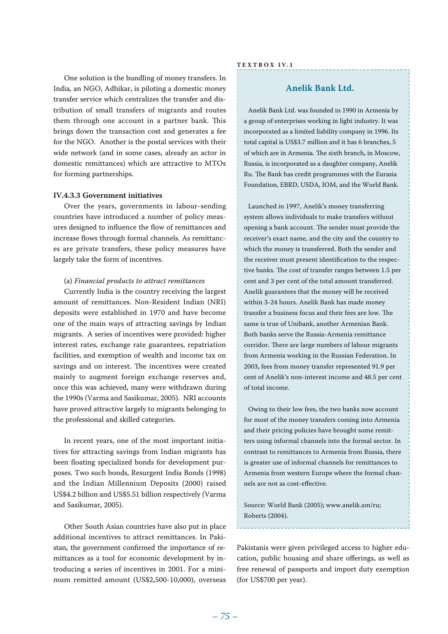One solution is the bundling of money transfers. In India, an NGO, Adhikar, is piloting a domestic money transfer service which centralizes the transfer and distribution of small transfers of migrants and routes them through one account in a partner bank. This brings down the transaction cost and generates a fee for the NGO. Another is the postal services with their wide network (and in some cases, already an actor in domestic remittances) which are attractive to MTOs for forming partnerships.

#### **IV.4.3.3 Government initiatives**

Over the years, governments in labour-sending countries have introduced a number of policy measures designed to influence the flow of remittances and increase flows through formal channels. As remittances are private transfers, these policy measures have largely take the form of incentives.

#### (a) *Financial products to attract remittances*

Currently India is the country receiving the largest amount of remittances. Non-Resident Indian (NRI) deposits were established in 1970 and have become one of the main ways of attracting savings by Indian migrants. A series of incentives were provided: higher interest rates, exchange rate guarantees, repatriation facilities, and exemption of wealth and income tax on savings and on interest. The incentives were created mainly to augment foreign exchange reserves and, once this was achieved, many were withdrawn during the 1990s (Varma and Sasikumar, 2005). NRI accounts have proved attractive largely to migrants belonging to the professional and skilled categories.

In recent years, one of the most important initiatives for attracting savings from Indian migrants has been floating specialized bonds for development purposes. Two such bonds, Resurgent India Bonds (1998) and the Indian Millennium Deposits (2000) raised US\$4.2 billion and US\$5.51 billion respectively (Varma and Sasikumar, 2005).

Other South Asian countries have also put in place additional incentives to attract remittances. In Pakistan, the government confirmed the importance of remittances as a tool for economic development by introducing a series of incentives in 2001. For a minimum remitted amount (US\$2,500-10,000), overseas

## **Te x t bo x IV. 1**

## **Anelik Bank Ltd.**

Anelik Bank Ltd. was founded in 1990 in Armenia by a group of enterprises working in light industry. It was incorporated as a limited liability company in 1996. Its total capital is US\$3.7 million and it has 6 branches, 5 of which are in Armenia. The sixth branch, in Moscow, Russia, is incorporated as a daughter company, Anelik Ru. The Bank has credit programmes with the Eurasia Foundation, EBRD, USDA, IOM, and the World Bank.

Launched in 1997, Anelik's money transferring system allows individuals to make transfers without opening a bank account. The sender must provide the receiver's exact name, and the city and the country to which the money is transferred. Both the sender and the receiver must present identification to the respective banks. The cost of transfer ranges between 1.5 per cent and 3 per cent of the total amount transferred. Anelik guarantees that the money will be received within 3-24 hours. Anelik Bank has made money transfer a business focus and their fees are low. The same is true of Unibank, another Armenian Bank. Both banks serve the Russia-Armenia remittance corridor. There are large numbers of labour migrants from Armenia working in the Russian Federation. In 2003, fees from money transfer represented 91.9 per cent of Anelik's non-interest income and 48.5 per cent of total income.

Owing to their low fees, the two banks now account for most of the money transfers coming into Armenia and their pricing policies have brought some remitters using informal channels into the formal sector. In contrast to remittances to Armenia from Russia, there is greater use of informal channels for remittances to Armenia from western Europe where the formal channels are not as cost-effective.

Source: World Bank (2005); www.anelik.am/ru; Roberts (2004).

Pakistanis were given privileged access to higher education, public housing and share offerings, as well as free renewal of passports and import duty exemption (for US\$700 per year).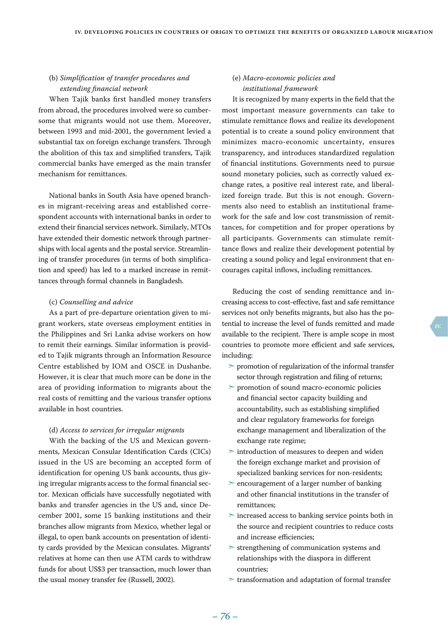## (b) *Simplification of transfer procedures and extending financial network*

When Tajik banks first handled money transfers from abroad, the procedures involved were so cumbersome that migrants would not use them. Moreover, between 1993 and mid-2001, the government levied a substantial tax on foreign exchange transfers. Through the abolition of this tax and simplified transfers, Tajik commercial banks have emerged as the main transfer mechanism for remittances.

National banks in South Asia have opened branches in migrant-receiving areas and established correspondent accounts with international banks in order to extend their financial services network. Similarly, MTOs have extended their domestic network through partnerships with local agents and the postal service. Streamlining of transfer procedures (in terms of both simplification and speed) has led to a marked increase in remittances through formal channels in Bangladesh.

#### (c) *Counselling and advice*

As a part of pre-departure orientation given to migrant workers, state overseas employment entities in the Philippines and Sri Lanka advise workers on how to remit their earnings. Similar information is provided to Tajik migrants through an Information Resource Centre established by IOM and OSCE in Dushanbe. However, it is clear that much more can be done in the area of providing information to migrants about the real costs of remitting and the various transfer options available in host countries.

#### (d) *Access to services for irregular migrants*

With the backing of the US and Mexican governments, Mexican Consular Identification Cards (CICs) issued in the US are becoming an accepted form of identification for opening US bank accounts, thus giving irregular migrants access to the formal financial sector. Mexican officials have successfully negotiated with banks and transfer agencies in the US and, since December 2001, some 15 banking institutions and their branches allow migrants from Mexico, whether legal or illegal, to open bank accounts on presentation of identity cards provided by the Mexican consulates. Migrants' relatives at home can then use ATM cards to withdraw funds for about US\$3 per transaction, much lower than the usual money transfer fee (Russell, 2002).

# (e) *Macro-economic policies and institutional framework*

It is recognized by many experts in the field that the most important measure governments can take to stimulate remittance flows and realize its development potential is to create a sound policy environment that minimizes macro-economic uncertainty, ensures transparency, and introduces standardized regulation of financial institutions. Governments need to pursue sound monetary policies, such as correctly valued exchange rates, a positive real interest rate, and liberalized foreign trade. But this is not enough. Governments also need to establish an institutional framework for the safe and low cost transmission of remittances, for competition and for proper operations by all participants. Governments can stimulate remittance flows and realize their development potential by creating a sound policy and legal environment that encourages capital inflows, including remittances.

Reducing the cost of sending remittance and increasing access to cost-effective, fast and safe remittance services not only benefits migrants, but also has the potential to increase the level of funds remitted and made available to the recipient. There is ample scope in most countries to promote more efficient and safe services, including:

- ➣ promotion of regularization of the informal transfer sector through registration and filing of returns;
- ➣ promotion of sound macro-economic policies and financial sector capacity building and accountability, such as establishing simplified and clear regulatory frameworks for foreign exchange management and liberalization of the exchange rate regime;
- ➣ introduction of measures to deepen and widen the foreign exchange market and provision of specialized banking services for non-residents;
- ➣ encouragement of a larger number of banking and other financial institutions in the transfer of remittances;
- ➣ increased access to banking service points both in the source and recipient countries to reduce costs and increase efficiencies;
- ➣ strengthening of communication systems and relationships with the diaspora in different countries;
- ➣ transformation and adaptation of formal transfer

 *– 75 – – 76 –*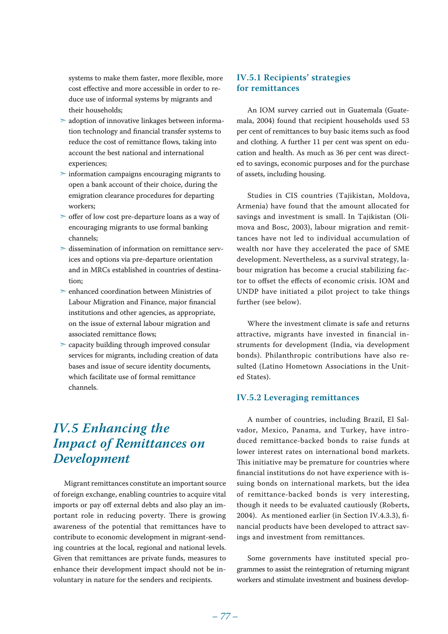systems to make them faster, more flexible, more cost effective and more accessible in order to reduce use of informal systems by migrants and their households;

- ➣ adoption of innovative linkages between information technology and financial transfer systems to reduce the cost of remittance flows, taking into account the best national and international experiences;
- $\triangleright$  information campaigns encouraging migrants to open a bank account of their choice, during the emigration clearance procedures for departing workers;
- ➣ offer of low cost pre-departure loans as a way of encouraging migrants to use formal banking channels;
- ➣ dissemination of information on remittance services and options via pre-departure orientation and in MRCs established in countries of destination;
- $\geq$ enhanced coordination between Ministries of Labour Migration and Finance, major financial institutions and other agencies, as appropriate, on the issue of external labour migration and associated remittance flows;
- ➣ capacity building through improved consular services for migrants, including creation of data bases and issue of secure identity documents, which facilitate use of formal remittance channels.

# *IV.5 Enhancing the Impact of Remittances on Development*

Migrant remittances constitute an important source of foreign exchange, enabling countries to acquire vital imports or pay off external debts and also play an important role in reducing poverty. There is growing awareness of the potential that remittances have to contribute to economic development in migrant-sending countries at the local, regional and national levels. Given that remittances are private funds, measures to enhance their development impact should not be involuntary in nature for the senders and recipients.

# **IV.5.1 Recipients' strategies for remittances**

An IOM survey carried out in Guatemala (Guatemala, 2004) found that recipient households used 53 per cent of remittances to buy basic items such as food and clothing. A further 11 per cent was spent on education and health. As much as 36 per cent was directed to savings, economic purposes and for the purchase of assets, including housing.

Studies in CIS countries (Tajikistan, Moldova, Armenia) have found that the amount allocated for savings and investment is small. In Tajikistan (Olimova and Bosc, 2003), labour migration and remittances have not led to individual accumulation of wealth nor have they accelerated the pace of SME development. Nevertheless, as a survival strategy, labour migration has become a crucial stabilizing factor to offset the effects of economic crisis. IOM and UNDP have initiated a pilot project to take things further (see below).

Where the investment climate is safe and returns attractive, migrants have invested in financial instruments for development (India, via development bonds). Philanthropic contributions have also resulted (Latino Hometown Associations in the United States).

## **IV.5.2 Leveraging remittances**

A number of countries, including Brazil, El Salvador, Mexico, Panama, and Turkey, have introduced remittance-backed bonds to raise funds at lower interest rates on international bond markets. This initiative may be premature for countries where financial institutions do not have experience with issuing bonds on international markets, but the idea of remittance-backed bonds is very interesting, though it needs to be evaluated cautiously (Roberts, 2004). As mentioned earlier (in Section IV.4.3.3), financial products have been developed to attract savings and investment from remittances.

Some governments have instituted special programmes to assist the reintegration of returning migrant workers and stimulate investment and business develop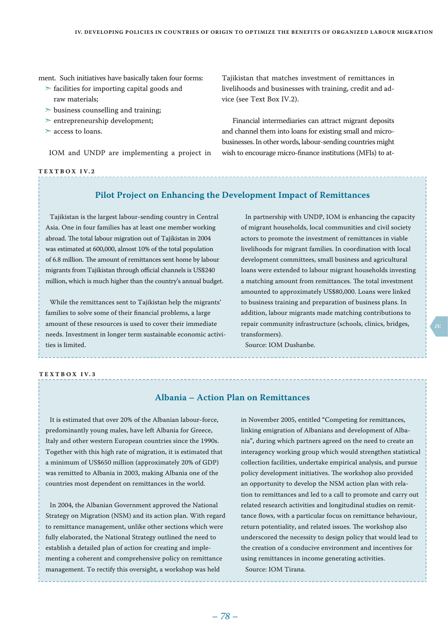ment. Such initiatives have basically taken four forms:

- $\ge$  facilities for importing capital goods and raw materials;
- $\geq$  business counselling and training;
- ➣ entrepreneurship development;
- ➣ access to loans.

IOM and UNDP are implementing a project in

#### **Te x t bo x IV. 2**

Tajikistan that matches investment of remittances in livelihoods and businesses with training, credit and advice (see Text Box IV.2).

Financial intermediaries can attract migrant deposits and channel them into loans for existing small and microbusinesses. In other words, labour-sending countries might wish to encourage micro-finance institutions (MFIs) to at-

# **Pilot Project on Enhancing the Development Impact of Remittances**

Tajikistan is the largest labour-sending country in Central Asia. One in four families has at least one member working abroad. The total labour migration out of Tajikistan in 2004 was estimated at 600,000, almost 10% of the total population of 6.8 million. The amount of remittances sent home by labour migrants from Tajikistan through official channels is US\$240 million, which is much higher than the country's annual budget.

While the remittances sent to Tajikistan help the migrants' families to solve some of their financial problems, a large amount of these resources is used to cover their immediate needs. Investment in longer term sustainable economic activities is limited.

In partnership with UNDP, IOM is enhancing the capacity of migrant households, local communities and civil society actors to promote the investment of remittances in viable livelihoods for migrant families. In coordination with local development committees, small business and agricultural loans were extended to labour migrant households investing a matching amount from remittances. The total investment amounted to approximately US\$80,000. Loans were linked to business training and preparation of business plans. In addition, labour migrants made matching contributions to repair community infrastructure (schools, clinics, bridges, transformers).

Source: IOM Dushanbe.

#### **Te x t bo x IV. 3**

# **Albania – Action Plan on Remittances**

It is estimated that over 20% of the Albanian labour-force, predominantly young males, have left Albania for Greece, Italy and other western European countries since the 1990s. Together with this high rate of migration, it is estimated that a minimum of US\$650 million (approximately 20% of GDP) was remitted to Albania in 2003, making Albania one of the countries most dependent on remittances in the world.

In 2004, the Albanian Government approved the National Strategy on Migration (NSM) and its action plan. With regard to remittance management, unlike other sections which were fully elaborated, the National Strategy outlined the need to establish a detailed plan of action for creating and implementing a coherent and comprehensive policy on remittance management. To rectify this oversight, a workshop was held

in November 2005, entitled "Competing for remittances, linking emigration of Albanians and development of Albania", during which partners agreed on the need to create an interagency working group which would strengthen statistical collection facilities, undertake empirical analysis, and pursue policy development initiatives. The workshop also provided an opportunity to develop the NSM action plan with relation to remittances and led to a call to promote and carry out related research activities and longitudinal studies on remittance flows, with a particular focus on remittance behaviour, return potentiality, and related issues. The workshop also underscored the necessity to design policy that would lead to the creation of a conducive environment and incentives for using remittances in income generating activities. Source: IOM Tirana.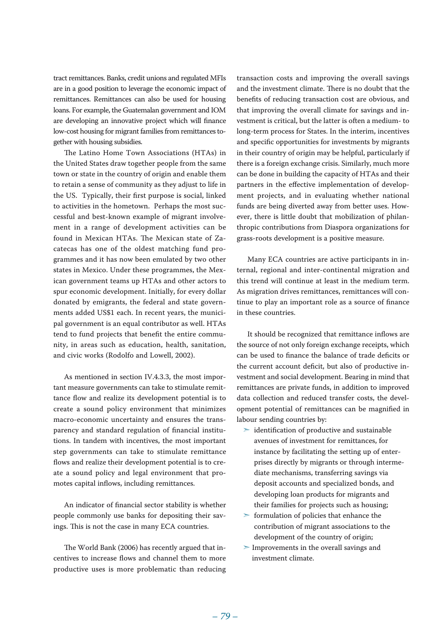tract remittances. Banks, credit unions and regulated MFIs are in a good position to leverage the economic impact of remittances. Remittances can also be used for housing loans. For example, the Guatemalan government and IOM are developing an innovative project which will finance low-cost housing for migrant families from remittances together with housing subsidies.

The Latino Home Town Associations (HTAs) in the United States draw together people from the same town or state in the country of origin and enable them to retain a sense of community as they adjust to life in the US. Typically, their first purpose is social, linked to activities in the hometown. Perhaps the most successful and best-known example of migrant involvement in a range of development activities can be found in Mexican HTAs. The Mexican state of Zacatecas has one of the oldest matching fund programmes and it has now been emulated by two other states in Mexico. Under these programmes, the Mexican government teams up HTAs and other actors to spur economic development. Initially, for every dollar donated by emigrants, the federal and state governments added US\$1 each. In recent years, the municipal government is an equal contributor as well. HTAs tend to fund projects that benefit the entire community, in areas such as education, health, sanitation, and civic works (Rodolfo and Lowell, 2002).

As mentioned in section IV.4.3.3, the most important measure governments can take to stimulate remittance flow and realize its development potential is to create a sound policy environment that minimizes macro-economic uncertainty and ensures the transparency and standard regulation of financial institutions. In tandem with incentives, the most important step governments can take to stimulate remittance flows and realize their development potential is to create a sound policy and legal environment that promotes capital inflows, including remittances.

An indicator of financial sector stability is whether people commonly use banks for depositing their savings. This is not the case in many ECA countries.

The World Bank (2006) has recently argued that incentives to increase flows and channel them to more productive uses is more problematic than reducing

transaction costs and improving the overall savings and the investment climate. There is no doubt that the benefits of reducing transaction cost are obvious, and that improving the overall climate for savings and investment is critical, but the latter is often a medium- to long-term process for States. In the interim, incentives and specific opportunities for investments by migrants in their country of origin may be helpful, particularly if there is a foreign exchange crisis. Similarly, much more can be done in building the capacity of HTAs and their partners in the effective implementation of development projects, and in evaluating whether national funds are being diverted away from better uses. However, there is little doubt that mobilization of philanthropic contributions from Diaspora organizations for grass-roots development is a positive measure.

Many ECA countries are active participants in internal, regional and inter-continental migration and this trend will continue at least in the medium term. As migration drives remittances, remittances will continue to play an important role as a source of finance in these countries.

It should be recognized that remittance inflows are the source of not only foreign exchange receipts, which can be used to finance the balance of trade deficits or the current account deficit, but also of productive investment and social development. Bearing in mind that remittances are private funds, in addition to improved data collection and reduced transfer costs, the development potential of remittances can be magnified in labour sending countries by:

- $\geq$  identification of productive and sustainable avenues of investment for remittances, for instance by facilitating the setting up of enterprises directly by migrants or through intermediate mechanisms, transferring savings via deposit accounts and specialized bonds, and developing loan products for migrants and their families for projects such as housing;
- $\ge$  formulation of policies that enhance the contribution of migrant associations to the development of the country of origin;
- ➣ Improvements in the overall savings and investment climate.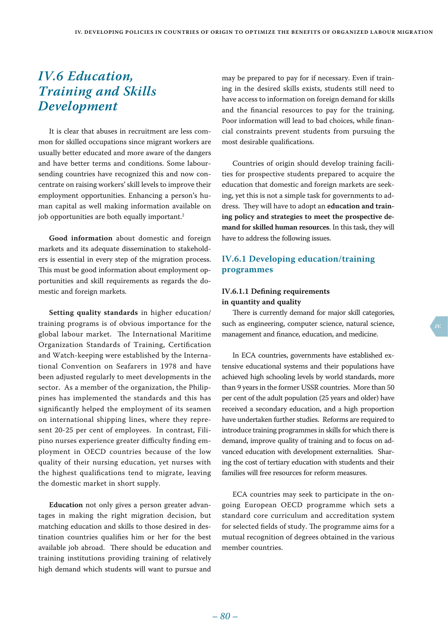# *IV.6 Education, Training and Skills Development*

It is clear that abuses in recruitment are less common for skilled occupations since migrant workers are usually better educated and more aware of the dangers and have better terms and conditions. Some laboursending countries have recognized this and now concentrate on raising workers' skill levels to improve their employment opportunities. Enhancing a person's human capital as well making information available on job opportunities are both equally important.<sup>2</sup>

**Good information** about domestic and foreign markets and its adequate dissemination to stakeholders is essential in every step of the migration process. This must be good information about employment opportunities and skill requirements as regards the domestic and foreign markets.

**Setting quality standards** in higher education/ training programs is of obvious importance for the global labour market. The International Maritime Organization Standards of Training, Certification and Watch-keeping were established by the International Convention on Seafarers in 1978 and have been adjusted regularly to meet developments in the sector. As a member of the organization, the Philippines has implemented the standards and this has significantly helped the employment of its seamen on international shipping lines, where they represent 20-25 per cent of employees. In contrast, Filipino nurses experience greater difficulty finding employment in OECD countries because of the low quality of their nursing education, yet nurses with the highest qualifications tend to migrate, leaving the domestic market in short supply.

**Education** not only gives a person greater advantages in making the right migration decision, but matching education and skills to those desired in destination countries qualifies him or her for the best available job abroad. There should be education and training institutions providing training of relatively high demand which students will want to pursue and

 *– 79 – – 80 –*

may be prepared to pay for if necessary. Even if training in the desired skills exists, students still need to have access to information on foreign demand for skills and the financial resources to pay for the training. Poor information will lead to bad choices, while financial constraints prevent students from pursuing the most desirable qualifications.

Countries of origin should develop training facilities for prospective students prepared to acquire the education that domestic and foreign markets are seeking, yet this is not a simple task for governments to address. They will have to adopt an **education and training policy and strategies to meet the prospective demand for skilled human resources**. In this task, they will have to address the following issues.

# **IV.6.1 Developing education/training programmes**

## **IV.6.1.1 Defining requirements in quantity and quality**

There is currently demand for major skill categories, such as engineering, computer science, natural science, management and finance, education, and medicine.

In ECA countries, governments have established extensive educational systems and their populations have achieved high schooling levels by world standards, more than 9 years in the former USSR countries. More than 50 per cent of the adult population (25 years and older) have received a secondary education, and a high proportion have undertaken further studies. Reforms are required to introduce training programmes in skills for which there is demand, improve quality of training and to focus on advanced education with development externalities. Sharing the cost of tertiary education with students and their families will free resources for reform measures.

ECA countries may seek to participate in the ongoing European OECD programme which sets a standard core curriculum and accreditation system for selected fields of study. The programme aims for a mutual recognition of degrees obtained in the various member countries.